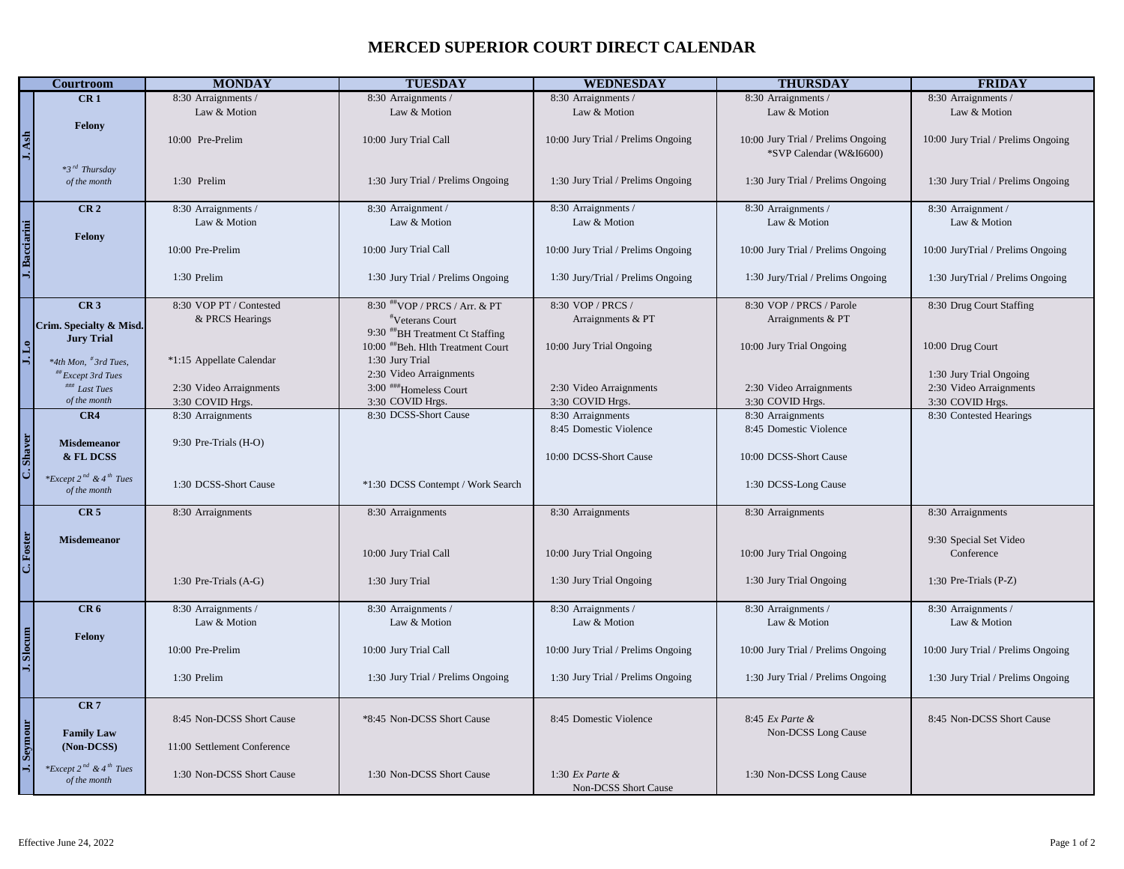## **MERCED SUPERIOR COURT DIRECT CALENDAR**

| 8:30 Arraignments /<br>8:30 Arraignments /<br>8:30 Arraignments /<br>CR <sub>1</sub><br>8:30 Arraignments /<br>8:30 Arraignments /<br>Law & Motion<br>Law & Motion<br>Law & Motion<br>Law & Motion<br>Law & Motion<br>Felony<br>J. Ash<br>10:00 Jury Trial / Prelims Ongoing<br>10:00 Pre-Prelim<br>10:00 Jury Trial Call<br>10:00 Jury Trial / Prelims Ongoing<br>10:00 Jury Trial / Prelims Ongoing<br>*SVP Calendar (W&I6600)<br>$*3^{rd}$ Thursday<br>1:30 Jury Trial / Prelims Ongoing<br>1:30 Jury Trial / Prelims Ongoing<br>1:30 Jury Trial / Prelims Ongoing<br>1:30 Jury Trial / Prelims Ongoing<br>of the month<br>1:30 Prelim<br>CR <sub>2</sub><br>8:30 Arraignment /<br>8:30 Arraignments /<br>8:30 Arraignments /<br>8:30 Arraignments /<br>8:30 Arraignment /<br>Law & Motion<br>Law & Motion<br>Law & Motion<br>Law & Motion<br>Law & Motion<br>Felony<br>10:00 Jury Trial Call<br>10:00 Pre-Prelim<br>10:00 Jury Trial / Prelims Ongoing<br>10:00 Jury Trial / Prelims Ongoing<br>10:00 JuryTrial / Prelims Ongoing<br>1:30 Prelim<br>1:30 Jury Trial / Prelims Ongoing<br>1:30 Jury/Trial / Prelims Ongoing<br>1:30 Jury/Trial / Prelims Ongoing<br>1:30 JuryTrial / Prelims Ongoing<br>8:30 VOP PT / Contested<br>8:30 VOP / PRCS /<br>8:30 VOP / PRCS / Parole<br>CR <sub>3</sub><br>8:30 ##VOP / PRCS / Arr. & PT<br>8:30 Drug Court Staffing<br>& PRCS Hearings<br>Arraignments & PT<br><i>v</i> Veterans Court<br>Arraignments & PT<br>Crim. Specialty & Misd.<br>9:30 #BH Treatment Ct Staffing<br><b>Jury Trial</b><br>10:00 ##Beh. Hlth Treatment Court<br>10:00 Jury Trial Ongoing<br>10:00 Jury Trial Ongoing<br>10:00 Drug Court<br>*1:15 Appellate Calendar<br>1:30 Jury Trial<br>*4th Mon, <sup>#</sup> 3rd Tues,<br>2:30 Video Arraignments<br>1:30 Jury Trial Ongoing<br><i>Except 3rd Tues</i><br>2:30 Video Arraignments<br>### Last Tues<br>2:30 Video Arraignments<br>3:00 ###Homeless Court<br>2:30 Video Arraignments<br>2:30 Video Arraignments<br>of the month<br>3:30 COVID Hrgs.<br>3:30 COVID Hrgs.<br>3:30 COVID Hrgs.<br>3:30 COVID Hrgs.<br>3:30 COVID Hrgs.<br>8:30 DCSS-Short Cause<br>8:30 Arraignments<br>8:30 Contested Hearings<br>CR4<br>8:30 Arraignments<br>8:30 Arraignments<br>8:45 Domestic Violence<br>8:45 Domestic Violence<br>C. Shaver<br><b>Misdemeanor</b><br>9:30 Pre-Trials (H-O)<br>& FL DCSS<br>10:00 DCSS-Short Cause<br>10:00 DCSS-Short Cause<br>*Except $2^{nd}$ & $4^{th}$ Tues<br>1:30 DCSS-Short Cause<br>*1:30 DCSS Contempt / Work Search<br>1:30 DCSS-Long Cause<br>of the month<br>CR <sub>5</sub><br>8:30 Arraignments<br>8:30 Arraignments<br>8:30 Arraignments<br>8:30 Arraignments<br>8:30 Arraignments<br>C. Foster<br><b>Misdemeanor</b><br>9:30 Special Set Video<br>10:00 Jury Trial Ongoing<br>10:00 Jury Trial Ongoing<br>Conference<br>10:00 Jury Trial Call<br>1:30 Jury Trial Ongoing<br>1:30 Jury Trial Ongoing<br>1:30 Pre-Trials (P-Z)<br>1:30 Pre-Trials (A-G)<br>1:30 Jury Trial<br>CR <sub>6</sub><br>8:30 Arraignments /<br>8:30 Arraignments /<br>8:30 Arraignments /<br>8:30 Arraignments /<br>8:30 Arraignments /<br>Law & Motion<br>Law & Motion<br>Law & Motion<br>Law & Motion<br>Law & Motion<br>Felony<br>10:00 Pre-Prelim<br>10:00 Jury Trial Call<br>10:00 Jury Trial / Prelims Ongoing<br>10:00 Jury Trial / Prelims Ongoing<br>10:00 Jury Trial / Prelims Ongoing<br>1:30 Prelim<br>1:30 Jury Trial / Prelims Ongoing<br>1:30 Jury Trial / Prelims Ongoing<br>1:30 Jury Trial / Prelims Ongoing<br>1:30 Jury Trial / Prelims Ongoing<br>CR <sub>7</sub><br>8:45 Non-DCSS Short Cause<br>*8:45 Non-DCSS Short Cause<br>8:45 Domestic Violence<br>8:45 Ex Parte &<br>8:45 Non-DCSS Short Cause<br>Seymou<br><b>Family Law</b><br>Non-DCSS Long Cause<br>(Non-DCSS)<br>11:00 Settlement Conference<br>*Except 2 <sup>nd</sup> & 4 <sup>th</sup> Tues<br>1:30 Non-DCSS Short Cause<br>1:30 Non-DCSS Short Cause<br>1:30 $Ex$ Parte &<br>1:30 Non-DCSS Long Cause<br>of the month | <b>Courtroom</b> | <b>MONDAY</b> | <b>TUESDAY</b> | <b>WEDNESDAY</b>     | <b>THURSDAY</b> | <b>FRIDAY</b> |
|------------------------------------------------------------------------------------------------------------------------------------------------------------------------------------------------------------------------------------------------------------------------------------------------------------------------------------------------------------------------------------------------------------------------------------------------------------------------------------------------------------------------------------------------------------------------------------------------------------------------------------------------------------------------------------------------------------------------------------------------------------------------------------------------------------------------------------------------------------------------------------------------------------------------------------------------------------------------------------------------------------------------------------------------------------------------------------------------------------------------------------------------------------------------------------------------------------------------------------------------------------------------------------------------------------------------------------------------------------------------------------------------------------------------------------------------------------------------------------------------------------------------------------------------------------------------------------------------------------------------------------------------------------------------------------------------------------------------------------------------------------------------------------------------------------------------------------------------------------------------------------------------------------------------------------------------------------------------------------------------------------------------------------------------------------------------------------------------------------------------------------------------------------------------------------------------------------------------------------------------------------------------------------------------------------------------------------------------------------------------------------------------------------------------------------------------------------------------------------------------------------------------------------------------------------------------------------------------------------------------------------------------------------------------------------------------------------------------------------------------------------------------------------------------------------------------------------------------------------------------------------------------------------------------------------------------------------------------------------------------------------------------------------------------------------------------------------------------------------------------------------------------------------------------------------------------------------------------------------------------------------------------------------------------------------------------------------------------------------------------------------------------------------------------------------------------------------------------------------------------------------------------------------------------------------------------------------------------------------------------------------------------------------------------------------------------------------------------------------------------------------------------------------------------------------------------------------------------------------------------------------------------------------------------------------------------------------------------------------------------|------------------|---------------|----------------|----------------------|-----------------|---------------|
|                                                                                                                                                                                                                                                                                                                                                                                                                                                                                                                                                                                                                                                                                                                                                                                                                                                                                                                                                                                                                                                                                                                                                                                                                                                                                                                                                                                                                                                                                                                                                                                                                                                                                                                                                                                                                                                                                                                                                                                                                                                                                                                                                                                                                                                                                                                                                                                                                                                                                                                                                                                                                                                                                                                                                                                                                                                                                                                                                                                                                                                                                                                                                                                                                                                                                                                                                                                                                                                                                                                                                                                                                                                                                                                                                                                                                                                                                                                                                                                                |                  |               |                |                      |                 |               |
|                                                                                                                                                                                                                                                                                                                                                                                                                                                                                                                                                                                                                                                                                                                                                                                                                                                                                                                                                                                                                                                                                                                                                                                                                                                                                                                                                                                                                                                                                                                                                                                                                                                                                                                                                                                                                                                                                                                                                                                                                                                                                                                                                                                                                                                                                                                                                                                                                                                                                                                                                                                                                                                                                                                                                                                                                                                                                                                                                                                                                                                                                                                                                                                                                                                                                                                                                                                                                                                                                                                                                                                                                                                                                                                                                                                                                                                                                                                                                                                                |                  |               |                |                      |                 |               |
| J. Bacciarini                                                                                                                                                                                                                                                                                                                                                                                                                                                                                                                                                                                                                                                                                                                                                                                                                                                                                                                                                                                                                                                                                                                                                                                                                                                                                                                                                                                                                                                                                                                                                                                                                                                                                                                                                                                                                                                                                                                                                                                                                                                                                                                                                                                                                                                                                                                                                                                                                                                                                                                                                                                                                                                                                                                                                                                                                                                                                                                                                                                                                                                                                                                                                                                                                                                                                                                                                                                                                                                                                                                                                                                                                                                                                                                                                                                                                                                                                                                                                                                  |                  |               |                |                      |                 |               |
|                                                                                                                                                                                                                                                                                                                                                                                                                                                                                                                                                                                                                                                                                                                                                                                                                                                                                                                                                                                                                                                                                                                                                                                                                                                                                                                                                                                                                                                                                                                                                                                                                                                                                                                                                                                                                                                                                                                                                                                                                                                                                                                                                                                                                                                                                                                                                                                                                                                                                                                                                                                                                                                                                                                                                                                                                                                                                                                                                                                                                                                                                                                                                                                                                                                                                                                                                                                                                                                                                                                                                                                                                                                                                                                                                                                                                                                                                                                                                                                                |                  |               |                |                      |                 |               |
|                                                                                                                                                                                                                                                                                                                                                                                                                                                                                                                                                                                                                                                                                                                                                                                                                                                                                                                                                                                                                                                                                                                                                                                                                                                                                                                                                                                                                                                                                                                                                                                                                                                                                                                                                                                                                                                                                                                                                                                                                                                                                                                                                                                                                                                                                                                                                                                                                                                                                                                                                                                                                                                                                                                                                                                                                                                                                                                                                                                                                                                                                                                                                                                                                                                                                                                                                                                                                                                                                                                                                                                                                                                                                                                                                                                                                                                                                                                                                                                                |                  |               |                |                      |                 |               |
|                                                                                                                                                                                                                                                                                                                                                                                                                                                                                                                                                                                                                                                                                                                                                                                                                                                                                                                                                                                                                                                                                                                                                                                                                                                                                                                                                                                                                                                                                                                                                                                                                                                                                                                                                                                                                                                                                                                                                                                                                                                                                                                                                                                                                                                                                                                                                                                                                                                                                                                                                                                                                                                                                                                                                                                                                                                                                                                                                                                                                                                                                                                                                                                                                                                                                                                                                                                                                                                                                                                                                                                                                                                                                                                                                                                                                                                                                                                                                                                                |                  |               |                |                      |                 |               |
|                                                                                                                                                                                                                                                                                                                                                                                                                                                                                                                                                                                                                                                                                                                                                                                                                                                                                                                                                                                                                                                                                                                                                                                                                                                                                                                                                                                                                                                                                                                                                                                                                                                                                                                                                                                                                                                                                                                                                                                                                                                                                                                                                                                                                                                                                                                                                                                                                                                                                                                                                                                                                                                                                                                                                                                                                                                                                                                                                                                                                                                                                                                                                                                                                                                                                                                                                                                                                                                                                                                                                                                                                                                                                                                                                                                                                                                                                                                                                                                                |                  |               |                |                      |                 |               |
|                                                                                                                                                                                                                                                                                                                                                                                                                                                                                                                                                                                                                                                                                                                                                                                                                                                                                                                                                                                                                                                                                                                                                                                                                                                                                                                                                                                                                                                                                                                                                                                                                                                                                                                                                                                                                                                                                                                                                                                                                                                                                                                                                                                                                                                                                                                                                                                                                                                                                                                                                                                                                                                                                                                                                                                                                                                                                                                                                                                                                                                                                                                                                                                                                                                                                                                                                                                                                                                                                                                                                                                                                                                                                                                                                                                                                                                                                                                                                                                                |                  |               |                |                      |                 |               |
|                                                                                                                                                                                                                                                                                                                                                                                                                                                                                                                                                                                                                                                                                                                                                                                                                                                                                                                                                                                                                                                                                                                                                                                                                                                                                                                                                                                                                                                                                                                                                                                                                                                                                                                                                                                                                                                                                                                                                                                                                                                                                                                                                                                                                                                                                                                                                                                                                                                                                                                                                                                                                                                                                                                                                                                                                                                                                                                                                                                                                                                                                                                                                                                                                                                                                                                                                                                                                                                                                                                                                                                                                                                                                                                                                                                                                                                                                                                                                                                                |                  |               |                |                      |                 |               |
|                                                                                                                                                                                                                                                                                                                                                                                                                                                                                                                                                                                                                                                                                                                                                                                                                                                                                                                                                                                                                                                                                                                                                                                                                                                                                                                                                                                                                                                                                                                                                                                                                                                                                                                                                                                                                                                                                                                                                                                                                                                                                                                                                                                                                                                                                                                                                                                                                                                                                                                                                                                                                                                                                                                                                                                                                                                                                                                                                                                                                                                                                                                                                                                                                                                                                                                                                                                                                                                                                                                                                                                                                                                                                                                                                                                                                                                                                                                                                                                                |                  |               |                |                      |                 |               |
|                                                                                                                                                                                                                                                                                                                                                                                                                                                                                                                                                                                                                                                                                                                                                                                                                                                                                                                                                                                                                                                                                                                                                                                                                                                                                                                                                                                                                                                                                                                                                                                                                                                                                                                                                                                                                                                                                                                                                                                                                                                                                                                                                                                                                                                                                                                                                                                                                                                                                                                                                                                                                                                                                                                                                                                                                                                                                                                                                                                                                                                                                                                                                                                                                                                                                                                                                                                                                                                                                                                                                                                                                                                                                                                                                                                                                                                                                                                                                                                                |                  |               |                |                      |                 |               |
|                                                                                                                                                                                                                                                                                                                                                                                                                                                                                                                                                                                                                                                                                                                                                                                                                                                                                                                                                                                                                                                                                                                                                                                                                                                                                                                                                                                                                                                                                                                                                                                                                                                                                                                                                                                                                                                                                                                                                                                                                                                                                                                                                                                                                                                                                                                                                                                                                                                                                                                                                                                                                                                                                                                                                                                                                                                                                                                                                                                                                                                                                                                                                                                                                                                                                                                                                                                                                                                                                                                                                                                                                                                                                                                                                                                                                                                                                                                                                                                                |                  |               |                |                      |                 |               |
|                                                                                                                                                                                                                                                                                                                                                                                                                                                                                                                                                                                                                                                                                                                                                                                                                                                                                                                                                                                                                                                                                                                                                                                                                                                                                                                                                                                                                                                                                                                                                                                                                                                                                                                                                                                                                                                                                                                                                                                                                                                                                                                                                                                                                                                                                                                                                                                                                                                                                                                                                                                                                                                                                                                                                                                                                                                                                                                                                                                                                                                                                                                                                                                                                                                                                                                                                                                                                                                                                                                                                                                                                                                                                                                                                                                                                                                                                                                                                                                                |                  |               |                |                      |                 |               |
|                                                                                                                                                                                                                                                                                                                                                                                                                                                                                                                                                                                                                                                                                                                                                                                                                                                                                                                                                                                                                                                                                                                                                                                                                                                                                                                                                                                                                                                                                                                                                                                                                                                                                                                                                                                                                                                                                                                                                                                                                                                                                                                                                                                                                                                                                                                                                                                                                                                                                                                                                                                                                                                                                                                                                                                                                                                                                                                                                                                                                                                                                                                                                                                                                                                                                                                                                                                                                                                                                                                                                                                                                                                                                                                                                                                                                                                                                                                                                                                                |                  |               |                |                      |                 |               |
|                                                                                                                                                                                                                                                                                                                                                                                                                                                                                                                                                                                                                                                                                                                                                                                                                                                                                                                                                                                                                                                                                                                                                                                                                                                                                                                                                                                                                                                                                                                                                                                                                                                                                                                                                                                                                                                                                                                                                                                                                                                                                                                                                                                                                                                                                                                                                                                                                                                                                                                                                                                                                                                                                                                                                                                                                                                                                                                                                                                                                                                                                                                                                                                                                                                                                                                                                                                                                                                                                                                                                                                                                                                                                                                                                                                                                                                                                                                                                                                                |                  |               |                |                      |                 |               |
|                                                                                                                                                                                                                                                                                                                                                                                                                                                                                                                                                                                                                                                                                                                                                                                                                                                                                                                                                                                                                                                                                                                                                                                                                                                                                                                                                                                                                                                                                                                                                                                                                                                                                                                                                                                                                                                                                                                                                                                                                                                                                                                                                                                                                                                                                                                                                                                                                                                                                                                                                                                                                                                                                                                                                                                                                                                                                                                                                                                                                                                                                                                                                                                                                                                                                                                                                                                                                                                                                                                                                                                                                                                                                                                                                                                                                                                                                                                                                                                                |                  |               |                |                      |                 |               |
|                                                                                                                                                                                                                                                                                                                                                                                                                                                                                                                                                                                                                                                                                                                                                                                                                                                                                                                                                                                                                                                                                                                                                                                                                                                                                                                                                                                                                                                                                                                                                                                                                                                                                                                                                                                                                                                                                                                                                                                                                                                                                                                                                                                                                                                                                                                                                                                                                                                                                                                                                                                                                                                                                                                                                                                                                                                                                                                                                                                                                                                                                                                                                                                                                                                                                                                                                                                                                                                                                                                                                                                                                                                                                                                                                                                                                                                                                                                                                                                                |                  |               |                |                      |                 |               |
|                                                                                                                                                                                                                                                                                                                                                                                                                                                                                                                                                                                                                                                                                                                                                                                                                                                                                                                                                                                                                                                                                                                                                                                                                                                                                                                                                                                                                                                                                                                                                                                                                                                                                                                                                                                                                                                                                                                                                                                                                                                                                                                                                                                                                                                                                                                                                                                                                                                                                                                                                                                                                                                                                                                                                                                                                                                                                                                                                                                                                                                                                                                                                                                                                                                                                                                                                                                                                                                                                                                                                                                                                                                                                                                                                                                                                                                                                                                                                                                                |                  |               |                |                      |                 |               |
|                                                                                                                                                                                                                                                                                                                                                                                                                                                                                                                                                                                                                                                                                                                                                                                                                                                                                                                                                                                                                                                                                                                                                                                                                                                                                                                                                                                                                                                                                                                                                                                                                                                                                                                                                                                                                                                                                                                                                                                                                                                                                                                                                                                                                                                                                                                                                                                                                                                                                                                                                                                                                                                                                                                                                                                                                                                                                                                                                                                                                                                                                                                                                                                                                                                                                                                                                                                                                                                                                                                                                                                                                                                                                                                                                                                                                                                                                                                                                                                                |                  |               |                |                      |                 |               |
|                                                                                                                                                                                                                                                                                                                                                                                                                                                                                                                                                                                                                                                                                                                                                                                                                                                                                                                                                                                                                                                                                                                                                                                                                                                                                                                                                                                                                                                                                                                                                                                                                                                                                                                                                                                                                                                                                                                                                                                                                                                                                                                                                                                                                                                                                                                                                                                                                                                                                                                                                                                                                                                                                                                                                                                                                                                                                                                                                                                                                                                                                                                                                                                                                                                                                                                                                                                                                                                                                                                                                                                                                                                                                                                                                                                                                                                                                                                                                                                                |                  |               |                |                      |                 |               |
|                                                                                                                                                                                                                                                                                                                                                                                                                                                                                                                                                                                                                                                                                                                                                                                                                                                                                                                                                                                                                                                                                                                                                                                                                                                                                                                                                                                                                                                                                                                                                                                                                                                                                                                                                                                                                                                                                                                                                                                                                                                                                                                                                                                                                                                                                                                                                                                                                                                                                                                                                                                                                                                                                                                                                                                                                                                                                                                                                                                                                                                                                                                                                                                                                                                                                                                                                                                                                                                                                                                                                                                                                                                                                                                                                                                                                                                                                                                                                                                                |                  |               |                |                      |                 |               |
| J. Slocum                                                                                                                                                                                                                                                                                                                                                                                                                                                                                                                                                                                                                                                                                                                                                                                                                                                                                                                                                                                                                                                                                                                                                                                                                                                                                                                                                                                                                                                                                                                                                                                                                                                                                                                                                                                                                                                                                                                                                                                                                                                                                                                                                                                                                                                                                                                                                                                                                                                                                                                                                                                                                                                                                                                                                                                                                                                                                                                                                                                                                                                                                                                                                                                                                                                                                                                                                                                                                                                                                                                                                                                                                                                                                                                                                                                                                                                                                                                                                                                      |                  |               |                |                      |                 |               |
|                                                                                                                                                                                                                                                                                                                                                                                                                                                                                                                                                                                                                                                                                                                                                                                                                                                                                                                                                                                                                                                                                                                                                                                                                                                                                                                                                                                                                                                                                                                                                                                                                                                                                                                                                                                                                                                                                                                                                                                                                                                                                                                                                                                                                                                                                                                                                                                                                                                                                                                                                                                                                                                                                                                                                                                                                                                                                                                                                                                                                                                                                                                                                                                                                                                                                                                                                                                                                                                                                                                                                                                                                                                                                                                                                                                                                                                                                                                                                                                                |                  |               |                |                      |                 |               |
|                                                                                                                                                                                                                                                                                                                                                                                                                                                                                                                                                                                                                                                                                                                                                                                                                                                                                                                                                                                                                                                                                                                                                                                                                                                                                                                                                                                                                                                                                                                                                                                                                                                                                                                                                                                                                                                                                                                                                                                                                                                                                                                                                                                                                                                                                                                                                                                                                                                                                                                                                                                                                                                                                                                                                                                                                                                                                                                                                                                                                                                                                                                                                                                                                                                                                                                                                                                                                                                                                                                                                                                                                                                                                                                                                                                                                                                                                                                                                                                                |                  |               |                |                      |                 |               |
|                                                                                                                                                                                                                                                                                                                                                                                                                                                                                                                                                                                                                                                                                                                                                                                                                                                                                                                                                                                                                                                                                                                                                                                                                                                                                                                                                                                                                                                                                                                                                                                                                                                                                                                                                                                                                                                                                                                                                                                                                                                                                                                                                                                                                                                                                                                                                                                                                                                                                                                                                                                                                                                                                                                                                                                                                                                                                                                                                                                                                                                                                                                                                                                                                                                                                                                                                                                                                                                                                                                                                                                                                                                                                                                                                                                                                                                                                                                                                                                                |                  |               |                |                      |                 |               |
|                                                                                                                                                                                                                                                                                                                                                                                                                                                                                                                                                                                                                                                                                                                                                                                                                                                                                                                                                                                                                                                                                                                                                                                                                                                                                                                                                                                                                                                                                                                                                                                                                                                                                                                                                                                                                                                                                                                                                                                                                                                                                                                                                                                                                                                                                                                                                                                                                                                                                                                                                                                                                                                                                                                                                                                                                                                                                                                                                                                                                                                                                                                                                                                                                                                                                                                                                                                                                                                                                                                                                                                                                                                                                                                                                                                                                                                                                                                                                                                                |                  |               |                |                      |                 |               |
|                                                                                                                                                                                                                                                                                                                                                                                                                                                                                                                                                                                                                                                                                                                                                                                                                                                                                                                                                                                                                                                                                                                                                                                                                                                                                                                                                                                                                                                                                                                                                                                                                                                                                                                                                                                                                                                                                                                                                                                                                                                                                                                                                                                                                                                                                                                                                                                                                                                                                                                                                                                                                                                                                                                                                                                                                                                                                                                                                                                                                                                                                                                                                                                                                                                                                                                                                                                                                                                                                                                                                                                                                                                                                                                                                                                                                                                                                                                                                                                                |                  |               |                |                      |                 |               |
|                                                                                                                                                                                                                                                                                                                                                                                                                                                                                                                                                                                                                                                                                                                                                                                                                                                                                                                                                                                                                                                                                                                                                                                                                                                                                                                                                                                                                                                                                                                                                                                                                                                                                                                                                                                                                                                                                                                                                                                                                                                                                                                                                                                                                                                                                                                                                                                                                                                                                                                                                                                                                                                                                                                                                                                                                                                                                                                                                                                                                                                                                                                                                                                                                                                                                                                                                                                                                                                                                                                                                                                                                                                                                                                                                                                                                                                                                                                                                                                                |                  |               |                |                      |                 |               |
|                                                                                                                                                                                                                                                                                                                                                                                                                                                                                                                                                                                                                                                                                                                                                                                                                                                                                                                                                                                                                                                                                                                                                                                                                                                                                                                                                                                                                                                                                                                                                                                                                                                                                                                                                                                                                                                                                                                                                                                                                                                                                                                                                                                                                                                                                                                                                                                                                                                                                                                                                                                                                                                                                                                                                                                                                                                                                                                                                                                                                                                                                                                                                                                                                                                                                                                                                                                                                                                                                                                                                                                                                                                                                                                                                                                                                                                                                                                                                                                                |                  |               |                |                      |                 |               |
|                                                                                                                                                                                                                                                                                                                                                                                                                                                                                                                                                                                                                                                                                                                                                                                                                                                                                                                                                                                                                                                                                                                                                                                                                                                                                                                                                                                                                                                                                                                                                                                                                                                                                                                                                                                                                                                                                                                                                                                                                                                                                                                                                                                                                                                                                                                                                                                                                                                                                                                                                                                                                                                                                                                                                                                                                                                                                                                                                                                                                                                                                                                                                                                                                                                                                                                                                                                                                                                                                                                                                                                                                                                                                                                                                                                                                                                                                                                                                                                                |                  |               |                |                      |                 |               |
|                                                                                                                                                                                                                                                                                                                                                                                                                                                                                                                                                                                                                                                                                                                                                                                                                                                                                                                                                                                                                                                                                                                                                                                                                                                                                                                                                                                                                                                                                                                                                                                                                                                                                                                                                                                                                                                                                                                                                                                                                                                                                                                                                                                                                                                                                                                                                                                                                                                                                                                                                                                                                                                                                                                                                                                                                                                                                                                                                                                                                                                                                                                                                                                                                                                                                                                                                                                                                                                                                                                                                                                                                                                                                                                                                                                                                                                                                                                                                                                                |                  |               |                |                      |                 |               |
|                                                                                                                                                                                                                                                                                                                                                                                                                                                                                                                                                                                                                                                                                                                                                                                                                                                                                                                                                                                                                                                                                                                                                                                                                                                                                                                                                                                                                                                                                                                                                                                                                                                                                                                                                                                                                                                                                                                                                                                                                                                                                                                                                                                                                                                                                                                                                                                                                                                                                                                                                                                                                                                                                                                                                                                                                                                                                                                                                                                                                                                                                                                                                                                                                                                                                                                                                                                                                                                                                                                                                                                                                                                                                                                                                                                                                                                                                                                                                                                                |                  |               |                |                      |                 |               |
|                                                                                                                                                                                                                                                                                                                                                                                                                                                                                                                                                                                                                                                                                                                                                                                                                                                                                                                                                                                                                                                                                                                                                                                                                                                                                                                                                                                                                                                                                                                                                                                                                                                                                                                                                                                                                                                                                                                                                                                                                                                                                                                                                                                                                                                                                                                                                                                                                                                                                                                                                                                                                                                                                                                                                                                                                                                                                                                                                                                                                                                                                                                                                                                                                                                                                                                                                                                                                                                                                                                                                                                                                                                                                                                                                                                                                                                                                                                                                                                                |                  |               |                |                      |                 |               |
|                                                                                                                                                                                                                                                                                                                                                                                                                                                                                                                                                                                                                                                                                                                                                                                                                                                                                                                                                                                                                                                                                                                                                                                                                                                                                                                                                                                                                                                                                                                                                                                                                                                                                                                                                                                                                                                                                                                                                                                                                                                                                                                                                                                                                                                                                                                                                                                                                                                                                                                                                                                                                                                                                                                                                                                                                                                                                                                                                                                                                                                                                                                                                                                                                                                                                                                                                                                                                                                                                                                                                                                                                                                                                                                                                                                                                                                                                                                                                                                                |                  |               |                |                      |                 |               |
|                                                                                                                                                                                                                                                                                                                                                                                                                                                                                                                                                                                                                                                                                                                                                                                                                                                                                                                                                                                                                                                                                                                                                                                                                                                                                                                                                                                                                                                                                                                                                                                                                                                                                                                                                                                                                                                                                                                                                                                                                                                                                                                                                                                                                                                                                                                                                                                                                                                                                                                                                                                                                                                                                                                                                                                                                                                                                                                                                                                                                                                                                                                                                                                                                                                                                                                                                                                                                                                                                                                                                                                                                                                                                                                                                                                                                                                                                                                                                                                                |                  |               |                |                      |                 |               |
|                                                                                                                                                                                                                                                                                                                                                                                                                                                                                                                                                                                                                                                                                                                                                                                                                                                                                                                                                                                                                                                                                                                                                                                                                                                                                                                                                                                                                                                                                                                                                                                                                                                                                                                                                                                                                                                                                                                                                                                                                                                                                                                                                                                                                                                                                                                                                                                                                                                                                                                                                                                                                                                                                                                                                                                                                                                                                                                                                                                                                                                                                                                                                                                                                                                                                                                                                                                                                                                                                                                                                                                                                                                                                                                                                                                                                                                                                                                                                                                                |                  |               |                |                      |                 |               |
|                                                                                                                                                                                                                                                                                                                                                                                                                                                                                                                                                                                                                                                                                                                                                                                                                                                                                                                                                                                                                                                                                                                                                                                                                                                                                                                                                                                                                                                                                                                                                                                                                                                                                                                                                                                                                                                                                                                                                                                                                                                                                                                                                                                                                                                                                                                                                                                                                                                                                                                                                                                                                                                                                                                                                                                                                                                                                                                                                                                                                                                                                                                                                                                                                                                                                                                                                                                                                                                                                                                                                                                                                                                                                                                                                                                                                                                                                                                                                                                                |                  |               |                |                      |                 |               |
|                                                                                                                                                                                                                                                                                                                                                                                                                                                                                                                                                                                                                                                                                                                                                                                                                                                                                                                                                                                                                                                                                                                                                                                                                                                                                                                                                                                                                                                                                                                                                                                                                                                                                                                                                                                                                                                                                                                                                                                                                                                                                                                                                                                                                                                                                                                                                                                                                                                                                                                                                                                                                                                                                                                                                                                                                                                                                                                                                                                                                                                                                                                                                                                                                                                                                                                                                                                                                                                                                                                                                                                                                                                                                                                                                                                                                                                                                                                                                                                                |                  |               |                |                      |                 |               |
|                                                                                                                                                                                                                                                                                                                                                                                                                                                                                                                                                                                                                                                                                                                                                                                                                                                                                                                                                                                                                                                                                                                                                                                                                                                                                                                                                                                                                                                                                                                                                                                                                                                                                                                                                                                                                                                                                                                                                                                                                                                                                                                                                                                                                                                                                                                                                                                                                                                                                                                                                                                                                                                                                                                                                                                                                                                                                                                                                                                                                                                                                                                                                                                                                                                                                                                                                                                                                                                                                                                                                                                                                                                                                                                                                                                                                                                                                                                                                                                                |                  |               |                |                      |                 |               |
|                                                                                                                                                                                                                                                                                                                                                                                                                                                                                                                                                                                                                                                                                                                                                                                                                                                                                                                                                                                                                                                                                                                                                                                                                                                                                                                                                                                                                                                                                                                                                                                                                                                                                                                                                                                                                                                                                                                                                                                                                                                                                                                                                                                                                                                                                                                                                                                                                                                                                                                                                                                                                                                                                                                                                                                                                                                                                                                                                                                                                                                                                                                                                                                                                                                                                                                                                                                                                                                                                                                                                                                                                                                                                                                                                                                                                                                                                                                                                                                                |                  |               |                |                      |                 |               |
|                                                                                                                                                                                                                                                                                                                                                                                                                                                                                                                                                                                                                                                                                                                                                                                                                                                                                                                                                                                                                                                                                                                                                                                                                                                                                                                                                                                                                                                                                                                                                                                                                                                                                                                                                                                                                                                                                                                                                                                                                                                                                                                                                                                                                                                                                                                                                                                                                                                                                                                                                                                                                                                                                                                                                                                                                                                                                                                                                                                                                                                                                                                                                                                                                                                                                                                                                                                                                                                                                                                                                                                                                                                                                                                                                                                                                                                                                                                                                                                                |                  |               |                |                      |                 |               |
|                                                                                                                                                                                                                                                                                                                                                                                                                                                                                                                                                                                                                                                                                                                                                                                                                                                                                                                                                                                                                                                                                                                                                                                                                                                                                                                                                                                                                                                                                                                                                                                                                                                                                                                                                                                                                                                                                                                                                                                                                                                                                                                                                                                                                                                                                                                                                                                                                                                                                                                                                                                                                                                                                                                                                                                                                                                                                                                                                                                                                                                                                                                                                                                                                                                                                                                                                                                                                                                                                                                                                                                                                                                                                                                                                                                                                                                                                                                                                                                                |                  |               |                |                      |                 |               |
|                                                                                                                                                                                                                                                                                                                                                                                                                                                                                                                                                                                                                                                                                                                                                                                                                                                                                                                                                                                                                                                                                                                                                                                                                                                                                                                                                                                                                                                                                                                                                                                                                                                                                                                                                                                                                                                                                                                                                                                                                                                                                                                                                                                                                                                                                                                                                                                                                                                                                                                                                                                                                                                                                                                                                                                                                                                                                                                                                                                                                                                                                                                                                                                                                                                                                                                                                                                                                                                                                                                                                                                                                                                                                                                                                                                                                                                                                                                                                                                                |                  |               |                |                      |                 |               |
|                                                                                                                                                                                                                                                                                                                                                                                                                                                                                                                                                                                                                                                                                                                                                                                                                                                                                                                                                                                                                                                                                                                                                                                                                                                                                                                                                                                                                                                                                                                                                                                                                                                                                                                                                                                                                                                                                                                                                                                                                                                                                                                                                                                                                                                                                                                                                                                                                                                                                                                                                                                                                                                                                                                                                                                                                                                                                                                                                                                                                                                                                                                                                                                                                                                                                                                                                                                                                                                                                                                                                                                                                                                                                                                                                                                                                                                                                                                                                                                                |                  |               |                |                      |                 |               |
|                                                                                                                                                                                                                                                                                                                                                                                                                                                                                                                                                                                                                                                                                                                                                                                                                                                                                                                                                                                                                                                                                                                                                                                                                                                                                                                                                                                                                                                                                                                                                                                                                                                                                                                                                                                                                                                                                                                                                                                                                                                                                                                                                                                                                                                                                                                                                                                                                                                                                                                                                                                                                                                                                                                                                                                                                                                                                                                                                                                                                                                                                                                                                                                                                                                                                                                                                                                                                                                                                                                                                                                                                                                                                                                                                                                                                                                                                                                                                                                                |                  |               |                |                      |                 |               |
|                                                                                                                                                                                                                                                                                                                                                                                                                                                                                                                                                                                                                                                                                                                                                                                                                                                                                                                                                                                                                                                                                                                                                                                                                                                                                                                                                                                                                                                                                                                                                                                                                                                                                                                                                                                                                                                                                                                                                                                                                                                                                                                                                                                                                                                                                                                                                                                                                                                                                                                                                                                                                                                                                                                                                                                                                                                                                                                                                                                                                                                                                                                                                                                                                                                                                                                                                                                                                                                                                                                                                                                                                                                                                                                                                                                                                                                                                                                                                                                                |                  |               |                |                      |                 |               |
|                                                                                                                                                                                                                                                                                                                                                                                                                                                                                                                                                                                                                                                                                                                                                                                                                                                                                                                                                                                                                                                                                                                                                                                                                                                                                                                                                                                                                                                                                                                                                                                                                                                                                                                                                                                                                                                                                                                                                                                                                                                                                                                                                                                                                                                                                                                                                                                                                                                                                                                                                                                                                                                                                                                                                                                                                                                                                                                                                                                                                                                                                                                                                                                                                                                                                                                                                                                                                                                                                                                                                                                                                                                                                                                                                                                                                                                                                                                                                                                                |                  |               |                |                      |                 |               |
|                                                                                                                                                                                                                                                                                                                                                                                                                                                                                                                                                                                                                                                                                                                                                                                                                                                                                                                                                                                                                                                                                                                                                                                                                                                                                                                                                                                                                                                                                                                                                                                                                                                                                                                                                                                                                                                                                                                                                                                                                                                                                                                                                                                                                                                                                                                                                                                                                                                                                                                                                                                                                                                                                                                                                                                                                                                                                                                                                                                                                                                                                                                                                                                                                                                                                                                                                                                                                                                                                                                                                                                                                                                                                                                                                                                                                                                                                                                                                                                                |                  |               |                | Non-DCSS Short Cause |                 |               |